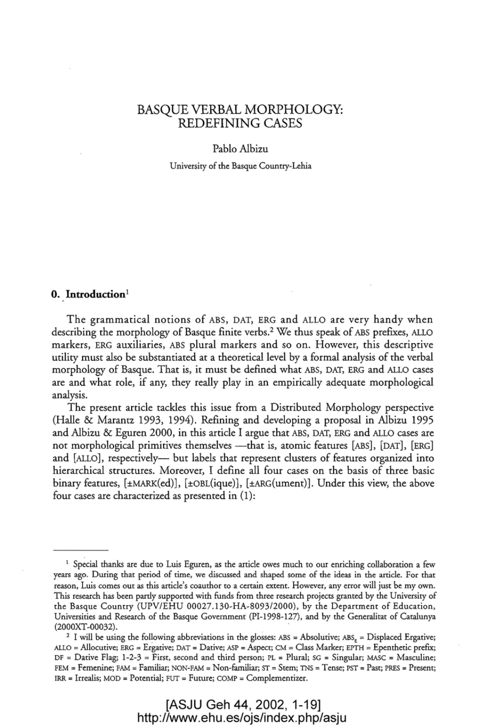# BASQUE VERBAL MORPHOLOGY: REDEFINING CASES

#### Pablo Albizu

University of the Basque Country-Lehia

# **O. Introduction <sup>1</sup>**

The grammatical notions of ABS, DAT, ERG and ALLO are very handy when describing the morphology of Basque finite verbs.2 We thus speak of ABS prefixes, ALLO markers, ERG auxiliaries, ABS plural markers and so on. However, this descriptive utility must also be substantiated at a theoretical level by a formal analysis of the verbal morphology of Basque. That is, it must be defined what ABS, DAT, ERG and ALLO cases are and what role, if any, they really play in an empirically adequate morphological analysis.

The present article tackles this issue from a Distributed Morphology perspective (Halle & Marantz 1993, 1994). Refining and developing a proposal in Albizu 1995 and Albizu & Eguren 2000, in this article I argue that ABS, DAT, ERG and ALLO cases are not morphological primitives themselves --- that is, atomic features [ABS], [DAT], [ERG] and [ALLO], respectively-- but labels that represent clusters of features organized into hierarchical structures. Moreover, I define all four cases on the basis of three basic binary features, [±MARK(ed)), [±OBL(ique)], [±ARG(ument)]. Under this view, the above four cases are characterized as presented in (1):

<sup>&</sup>lt;sup>1</sup> Special thanks are due to Luis Eguren, as the article owes much to our enriching collaboration a few years ago. During that period of time, we discussed and shaped some of the ideas in the article. For that reason, Luis comes out as this article's coauthor to a certain extent. However, any error will just be my own. This research has been partly supported with funds from three research projects granted by the University of the Basque Country (UPV/EHU *00027.130-HA-8093/2000),* by the Department of Education, Universities and Research of the Basque Government (PI-1998-127), and by the Generalitat of Catalunya (2000XT-00032).

<sup>&</sup>lt;sup>2</sup> I will be using the following abbreviations in the glosses:  $\text{ABS} = \text{Absolute}$ ;  $\text{ABS}_F = \text{Displaced}$  Ergative; ALLO = Allocutive; ERG = Ergative; DAT = Dative; ASP = Aspect; CM = Class Marker; EPTH = Epenthetic prefix;  $DF = D$ ative Flag; 1-2-3 = First, second and third person; PL = Plural; SG = Singular; MASC = Masculine; FEM = Femenine; FAM = Familiar; NON-FAM = Non-familiar; ST = Stem; TNS = Tense; PST = Past; PRES = Present; IRR = lrrealis; MOD = Potential; FUT = Futute; COMP = Complementizer.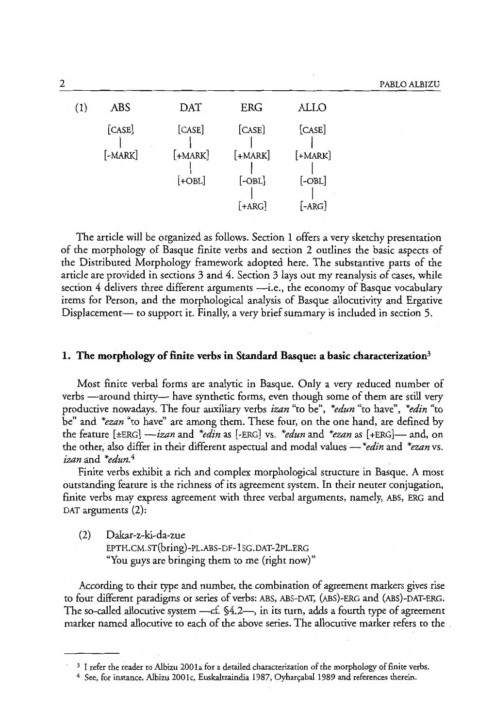| (1) | <b>ABS</b>                 | DAT                 | ERG                  | ALLO                 |
|-----|----------------------------|---------------------|----------------------|----------------------|
|     | [CASE]<br>$[-\text{MARK}]$ | [CASE]<br>$[+MARK]$ | [CASE]<br>$[+MARK]$  | [CASE]<br>$[+MARK]$  |
|     |                            | $[+OBL]$            | $[-OBL]$<br>$[+ARG]$ | $[-OBL]$<br>$[-ARG]$ |

The article will be organized as follows. Section 1 offers a very sketchy presentation of the morphology of Basque finite verbs and section 2 outlines the basic aspects of the Distributed Morphology framework adopted here. The substantive parts of the article are provided in sections 3 and 4. Section 3 lays out my reanalysis of cases, while section  $4$  delivers three different arguments  $\frac{d}{dx}$ . the economy of Basque vocabulary items for Person, and the morphological analysis of Basque allocutivity and Ergative Displacement- to support it. Finally, a very brief summary is included in section 5.

### **1. The morphology of finite verbs in Standard Basque: a basic characterization"**

Most finite verbal forms are analytic in Basque. Only a very reduced number of verbs -around thirty-have synthetic forms, even though some of them are still very productive nowadays. The four auxiliary verbs *izan* "to be", *\*edun* "to have", *\*edin* "to be" and *\*ezan* "to have" are among them. These four, on the one hand, are defined by the feature [±ERG] *-izan* and *\*edin* as [-ERG] vs. *\*edun* and *\*ezan* as [+ERG]- and, on the other, also differ in their different aspectual and modal values - *\*edin* and *\*ezan* vs. *izan* and *\*edun.4* 

Finite verbs exhibit a rich and complex morphological structure in Basque. A most outstanding feature is the richness of its agreement system. In their neuter conjugation, finite verbs may express agreement with three verbal arguments, namely, ABS, ERG and DAT arguments (2):

(2) Dakar-z-ki-da-zue EPTH.CM.ST(bring)-PL.ABS-OF-lSG.OAT-2PL.ERG "You guys are bringing them to me (right now)"

According to their type and number, the combination of agreement markers gives rise to four different paradigms or series of verbs: ABS, ABS-DAT, (ABS)-ERG and (ABS)-DAT-ERG. The so-called allocutive system ----cf. §4.2-, in its turn, adds a fourth type of agreement marker named allocutive to each of the above series. The allocutive marker refers to the .

<sup>&</sup>lt;sup>3</sup> I refer the reader to Albizu 2001a for a detailed characterization of the morphology of finite verbs.

<sup>&</sup>lt;sup>4</sup> See, for instance, Albizu 2001c, Euskaltzaindia 1987, Oyharçabal 1989 and references therein.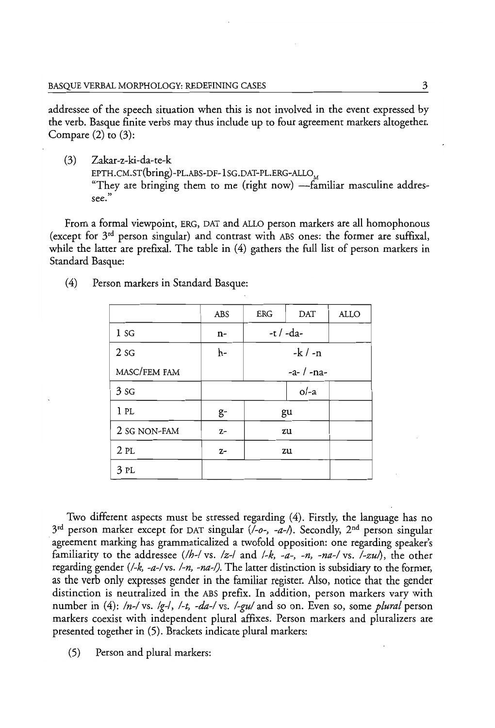addressee of the speech situation when this is not involved in the event expressed by the verb. Basque finite verbs may thus include up to four agreement markers altogether. Compare  $(2)$  to  $(3)$ :

(3) Zakar-z-ki-da-te-k EPTH.CM.ST(bring)-PL.ABS-DF-1SG.DAT-PL.ERG-ALLO "They are bringing them to me (right now) -familiar masculine addressee. "

From a formal viewpoint, ERG, DAT and ALLO person markers are all homophonous (except for 3rd person singular) and contrast with ABS ones: the former are suffixal, while the latter are prefixal. The table in (4) gathers the full list of person markers in Standard Basque:

|                 | ABS  | <b>ERG</b> | DAT          | ALLO |
|-----------------|------|------------|--------------|------|
| 1 sg            | n-   |            | -t / -da-    |      |
| 2 <sub>SG</sub> | h-   |            | $-k / -n$    |      |
| MASC/FEM FAM    |      |            | $-a-$ / -na- |      |
| 3 <sub>SG</sub> |      |            | $o/-a$       |      |
| 1PL             | g-   |            | gu           |      |
| 2 SG NON-FAM    | $Z-$ |            | zu           |      |
| 2PL             | $Z-$ |            | zu           |      |
| 3PL             |      |            |              |      |

(4) Person markers in Standard Basque:

Two different aspects must be stressed regarding (4). Firstly, the language has no  $3<sup>rd</sup>$  person marker except for DAT singular  $(/-o<sub>2</sub>, -a<sub>1</sub>)$ . Secondly, 2<sup>nd</sup> person singular agreement marking has grammaticalized a twofold opposition: one regarding speaker's familiarity to the addressee *(/h-I* vs. *Iz-/* and *I-k, -a-, -n, -na-I* vs. *I-zul)* , the other regarding gender *(I-k, -a-I* vs. *I-n, -na-I).* The latter distinction is subsidiary to the former, as the verb only expresses gender in the familiar register. Also, notice that the gender distinction is neutralized in the ABS prefix. In addition, person markers vary with number in (4): *In-I* vs. *Ig-/, I-t, -da-I* vs. *I-gul* and so on. Even so, some *plural* person markers coexist with independent plural affixes. Person markers and pluralizers are presented together in (5). Brackets indicate plural markers:

(5) Person and plural markers: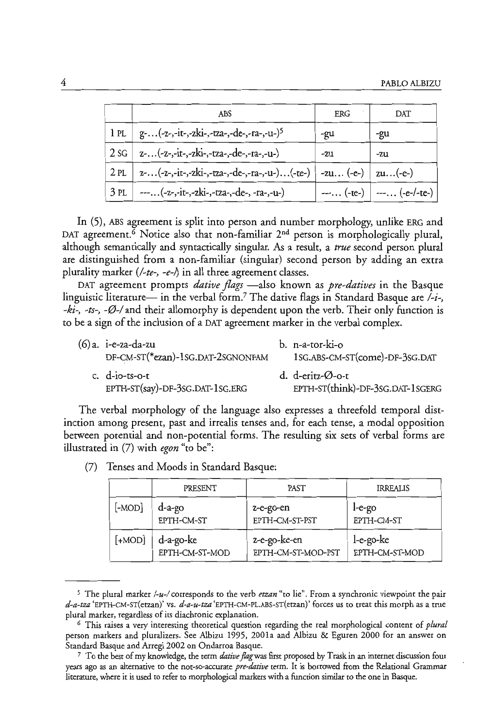|      | ABS                                                                | ERG | DAT                        |
|------|--------------------------------------------------------------------|-----|----------------------------|
| 1 pl | g-(-z-,-it-,-zki-,-tza-,-de-,-ra-,-u-) <sup>5</sup>                | -gu | -gu                        |
| 2 sG | z-(-z-,-it-,-zki-,-tza-,-de-,-ra-,-u-)                             | -zu | -zu                        |
| 2PL  | z-(-z-,-it-,-zki-,-tza-,-de-,-ra-,-u-)(-te-)   -zu (-e-)   zu(-e-) |     |                            |
| 3PL  | ---(-z-,-it-,-zki-,-tza-,-de-, -ra-,-u-)                           |     | $---(-te-)$ $---(-e-/te-)$ |

In (5), ABS agreement is split into person and number morphology, unlike ERG and DAT agreement.<sup>6</sup> Notice also that non-familiar 2<sup>nd</sup> person is morphologically plural, although semantically and syntactically singular. As a result, a *true* second person plural are distinguished from a non-familiar (singular) second person by adding an extra plurality marker *(/-te-, -e-I)* in all three agreement classes.

DAT agreement prompts *dative flags* —also known as *pre-datives* in the Basque linguistic literature— in the verbal form.<sup>7</sup> The dative flags in Standard Basque are  $\lambda$ -*i*-, *-ki-, -ts-, -0-1* and their allomorphy is dependent upon the verb. Their only function is to bea sign of the inclusion of a DAT agreement marker in the verbal complex.

| (6)a. i-e-za-da-zu<br>DF-CM-ST(*ezan)-1SG.DAT-2SGNONFAM | b. n-a-tor-ki-o<br>1SG.ABS-CM-ST(come)-DF-3SG.DAT    |
|---------------------------------------------------------|------------------------------------------------------|
| c. $d$ -io-ts-o-t<br>EPTH-ST(say)-DF-3SG.DAT-1SG.ERG    | d. d-eritz-Ø-0-t<br>EPTH-ST(think)-DF-3SG.DAT-1SGERG |

The verbal morphology of the language also expresses a threefold temporal distinction among present, past and irrealis tenses and, for each tense, a modal opposition between potential and non-potential forms. The resulting six sets of verbal forms are illustrated in (7) with *egon* "to be":

|           | PRESENT        | PAST               | <b>IRREALIS</b> |
|-----------|----------------|--------------------|-----------------|
| $[$ -MOD] | d-a-go         | z-e-go-en          | $I-e-go$        |
|           | EPTH-CM-ST     | EPTH-CM-ST-PST     | EPTH-CM-ST      |
| $[+MOD]$  | d-a-go-ke      | z-e-go-ke-en       | l-e-go-ke       |
|           | EPTH-CM-ST-MOD | EPTH-CM-ST-MOD-PST | EPTH-CM-ST-MOD  |

(7) Tenses and Moods in Standard Basque:

<sup>5</sup> The plural marker */-u-/* corresponds to the verb *etzan* "to lie". From a synchronic viewpoint the pair *d-a-tza* 'EPTH-CM-ST(etzan)' vs. *d-a-u-tza* 'EPTH-CM-PL.ABS-sT(etzan)' forces us to treat this morph as a true plural marker, regardless of its diachronic explanation.

<sup>6</sup> This raises a very interesting theoretical question regarding the real morphological content of *plural*  person markers and pluralizers. See Albizu 1995, 200la and Albizu & Eguren 2000 for an answer on Standard Basque and Arregi 2002 on Ondarroa Basque.

<sup>7</sup>To the best of my knowledge, the term *dative jlagwas* first proposed by Trask in an internet discussion four years ago as an alternative to the not-so-accurate *pre-dative* term. It is borrowed from the Relational Grammar literature, where it is used to refer to morphological markers with a function similar to the one in Basque.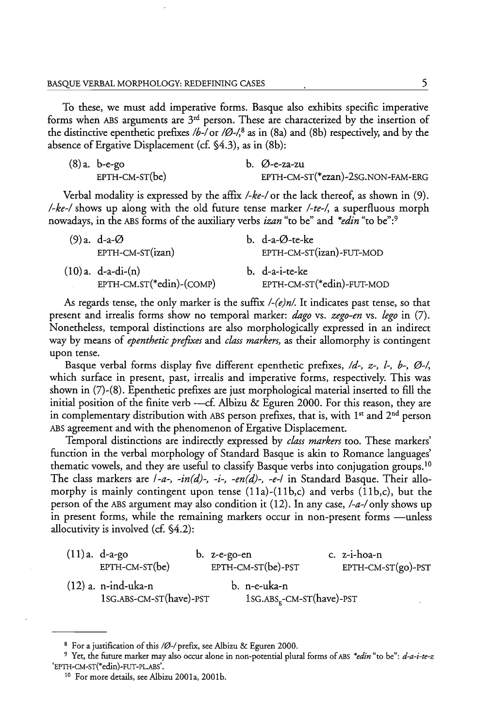To these, we must add imperative forms. Basque also exhibits specific imperative forms when ABS arguments are  $3<sup>rd</sup>$  person. These are characterized by the insertion of the distinctive epenthetic prefixes *Ib-/or 10-/,8* as in (8a) and (8b) respectively, and by the absence of Ergative Displacement (cf. §4.3), as in (8b):

| (8) a. b-e-go    | b. $\oslash$ -e-za-zu             |
|------------------|-----------------------------------|
| $EPTH-CM-ST(be)$ | EPTH-CM-ST(*ezan)-2SG.NON-FAM-ERG |

Verbal modality is expressed by the affix *I-ke-/or* the lack thereof, as shown in (9). *I-ke-I* shows up along with the old future tense marker *I-te-/'* a superfluous morph nowadays, in the ABS forms of the auxiliary verbs *izan* "to be" and *\*edin* "to be":9

| $(9)$ a. d-a- $\varnothing$ | b. d-a- $\varnothing$ -te-ke |
|-----------------------------|------------------------------|
| EPTH-CM-ST(izan)            | EPTH-CM-ST(izan)-FUT-MOD     |
| $(10)a. d-a-di-(n)$         | b. d-a-i-te-ke               |
| EPTH-CM.ST(*edin)-(COMP)    | EPTH-CM-ST(*edin)-FUT-MOD    |

As regards tense, the only marker is the suffix *I-(e)nl.* It indicates past tense, so that present and irrealis forms show no temporal marker: *dago* vs. *zego-en* vs. *!ego* in (7). Nonetheless, temporal distinctions are also morphologically expressed in an indirect way by means of *epenthetic prefixes* and *class markers,* as their allomorphy is contingent upon tense.

Basque verbal forms display five different epenthetic prefixes, Id-, *z-,* l-, b-, 0-/, which surface in present, past, irrealis and imperative forms, respectively. This was shown in (7)-(8). Epenthetic prefixes are just morphological material inserted to fill the initial position of the finite verb -- cf. Albizu & Eguren 2000. For this reason, they are in complementary distribution with ABS person prefixes, that is, with 1<sup>st</sup> and 2<sup>nd</sup> person ABS agreement and with the phenomenon of Ergative Displacement.

Temporal distinctions are indirectly expressed by *class markers* too. These markers' function in the verbal morphology of Standard Basque is akin to Romance languages' thematic vowels, and they are useful to classify Basque verbs into conjugation groups.<sup>10</sup> The class markers are */-a-, -in (d)-, -i-, -en (d)-, -e-/* in Standard Basque. Their allomorphy is mainly contingent upon tense  $(11a)-(11b,c)$  and verbs  $(11b,c)$ , but the person of the ABS argument may also condition it (12). In any case, *I-a-/only* shows up in present forms, while the remaining markers occur in non-present forms —unless allocutivity is involved (cf. §4.2):

| $(11)a. d-a-go$                                  | $b.$ z-e-go-en |                                                       | c. z-i-hoa-n           |
|--------------------------------------------------|----------------|-------------------------------------------------------|------------------------|
| $EPTH-CM-ST(be)$                                 |                | $EPTH-CM-ST(be)-PST$                                  | $EPTH-CM-ST(go) - PST$ |
| $(12)$ a. n-ind-uka-n<br>1sG.ABS-CM-ST(have)-PST |                | b. n-e-uka-n<br>1sG.ABS <sub>r</sub> -CM-ST(have)-PST |                        |

<sup>&</sup>lt;sup>8</sup> For a justification of this /Ø-/ prefix, see Albizu & Eguren 2000.

<sup>9</sup> Yet, the future marker may also occur alone in non-potential plural forms of ABS *\*edin* "to he": *d-a-i-te-z*  'EPTH-CM-ST(\*edin)-FUT-pL.ABS'.

<sup>&</sup>lt;sup>10</sup> For more details, see Albizu 2001a, 2001b.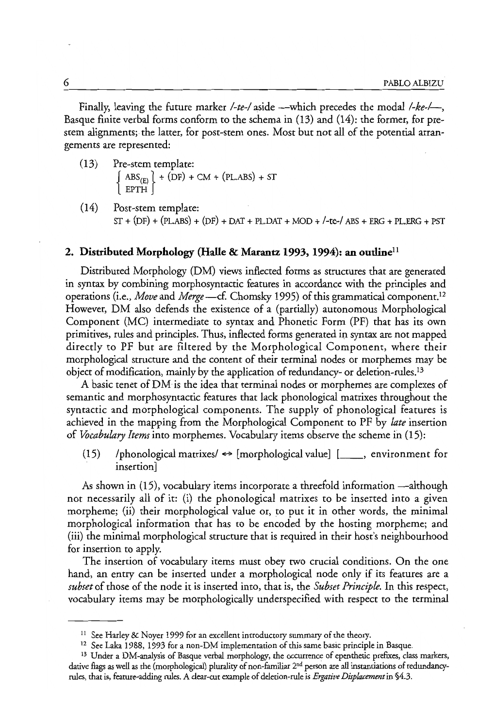Finally, leaving the future marker */-te-/* aside --which precedes the modal */-ke-/*--Basque finite verbal forms conform to the schema in (13) and (14): the former, for prestem alignments; the latter, for post-stem ones. Most but not all of the potential arrangements are represented:

- (13) Pre-stem template:  $\left[ \begin{array}{c} \text{ABS}_{(E)} \end{array} \right]$  + (DF) + CM + (PL.ABS) + ST <br>  $\left[ \begin{array}{c} \text{EPTH} \end{array} \right]$
- (14) Post-stem template:  $ST + (DF) + (PLABS) + (DF) + DAT + PLDAT + MOD + /-te- / ABS + ERG + PL.ERG + PST$

#### **2. Distributed Morphology (Halle & Marantz 1993, 1994): an outlinell**

Distributed Morphology (DM) views inflected forms as structures that are generated in syntax by combining morphosyntactic features in accordance with the principles and operations (i.e., *Move* and *Merge* —cf. Chomsky 1995) of this grammatical component.<sup>12</sup> However, DM also defends the existence of a (partially) autonomous Morphological Component (MC) intermediate to syntax and Phonetic Form (PF) that has its own primitives, rules and principles. Thus, inflected forms generated in syntax are not mapped directly to PF but are filtered by the Morphological Component, where their morphological structure and the content of their terminal nodes or morphemes may be object of modification, mainly by the application of redundancy- or deletion-rules.13

A basic tenet of DM is the idea that terminal nodes or morphemes are complexes of semantic and morphosyntactic features that lack phonological matrixes throughout the syntactic and morphological components. The supply of phonological features is achieved in the mapping from the Morphological Component to PF by *late* insertion of *Vocabulary Items* into morphemes. Vocabulary items observe the scheme in (15):

(15) /phonological matrixes/  $\Leftrightarrow$  [morphological value] [\_\_\_\_, environment for insertion]

As shown in (15), vocabulary items incorporate a threefold information —although not necessarily all of it: (i) the phonological matrixes to be inserted into a given morpheme; (ii) their morphological value or, to put it in other words, the minimal morphological information that has to be encoded by the hosting morpheme; and (iii) the minimal morphological structure that is required in their host's neighbourhood for insertion to apply.

The insertion of vocabulary items must obey two crucial conditions. On the one hand, an entry can be inserted under a morphological node only if its features are a *subset* of those of the node it is inserted into, that is, the *Subset Principle.* In this respect, vocabulary items may be morphologically underspecified with respect to the terminal

<sup>&</sup>lt;sup>11</sup> See Harley & Noyer 1999 for an excellent introductory summary of the theory.

<sup>&</sup>lt;sup>12</sup> See Laka 1988, 1993 for a non-DM implementation of this same basic principle in Basque.

<sup>&</sup>lt;sup>13</sup> Under a DM-analysis of Basque verbal morphology, the occurrence of epenthetic prefixes, class markers, dative flags as well as the (morphological) plurality of non-familiar 2<sup>nd</sup> person are all instantiations of redundancyrules, that is, feature-adding rules. A dear-cut example of deletion-rule is *Ergative Dispktcement* in §4.3.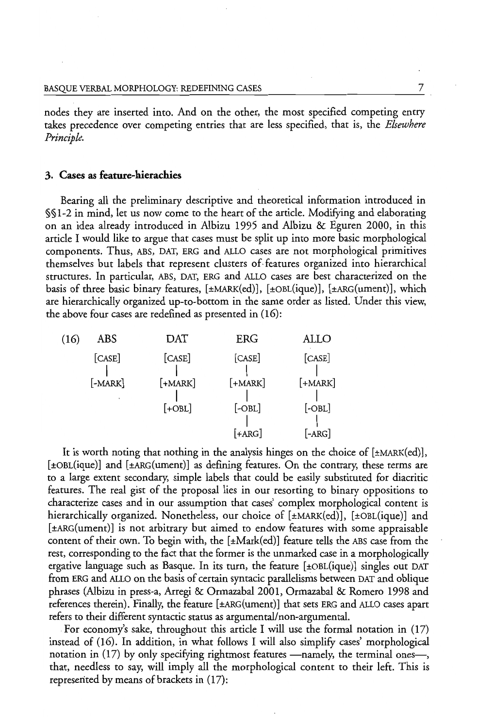nodes they are inserted into. And on the other, the most specified competing entry takes precedence over competing entries that are less specified, that is, the *Elsewhere Principle.* 

#### **3. Cases as feature-hierachies**

Bearing all the preliminary descriptive and theoretical information introduced in §§ 1-2 in mind, let us now come to the heart of the article. Modifying and elaborating on an idea already introduced in Albizu 1995 and Albizu & Eguren 2000, in this article I would like to argue that cases must be split up into more basic morphological components. Thus, ABS, OAT, ERG and ALLO cases are not morphological primitives themselves but labels that represent clusters of. features organized into hierarchical structures. In particular, ABS, OAT, ERG and ALLO cases are best characterized on the basis of three basic binary features, [±MARK(ed)], [±OBL(ique)], [±ARG(ument)], which are hierarchically organized up-to-bottom in the same order as listed. Under this view, the above four cases are redefined as presented in  $(16)$ :

| (16) | ABS       | DAT       | ERG       | ALLO      |
|------|-----------|-----------|-----------|-----------|
|      | [CASE]    | [CASE]    | [CASE]    | [CASE]    |
|      | $[-MARK]$ | $[+MARK]$ | $[+MARK]$ | $[+MARK]$ |
|      |           | $[-OBL]$  | $[-OBL]$  | $[-OBL]$  |
|      |           |           | $[+ARG]$  | [-ARG]    |

It is worth noting that nothing in the analysis hinges on the choice of  $[\pm$ MARK(ed)], [±OBL(ique)] and [±ARG(ument)] as defming features. On the contrary, these terms are to a large extent secondary, simple labels that could be easily substituted for diacritic features. The real gist of the proposal lies in our resorting to binary oppositions to characterize cases and in our assumption that cases' complex morphological content is hierarchically organized. Nonetheless, our choice of  $[\pm$ MARK(ed)],  $[\pm$ OBL(ique)] and [±ARG(ument)] is not arbitrary but aimed to endow features with some appraisable content of their own. To begin with, the  $[\pm \text{Mark(ed)}]$  feature tells the ABS case from the rest, corresponding to the fact that the former is the unmarked case in a morphologically ergative language such as Basque. In its turn, the feature [±OBL(ique)] singles out OAT from ERG and ALLO on the basis of certain syntacic parallelisms between OAT and oblique phrases (Albizu in press-a, Arregi & Ormazabal2001, Ormazabal & Romero 1998 and references therein). Finally, the feature [±ARG(ument)] that sets ERG and ALLO cases apart refers to their different syntactic status as argumental/non-argumental.

For economy's sake, throughout this article I will use the formal notation in (17) instead of (16). In addition, in what follows I will also simplify cases' morphological notation in  $(17)$  by only specifying rightmost features --- namely, the terminal onesthat, needless to say, will imply all the morphological content to their left. This is represented by means of brackets in (I7):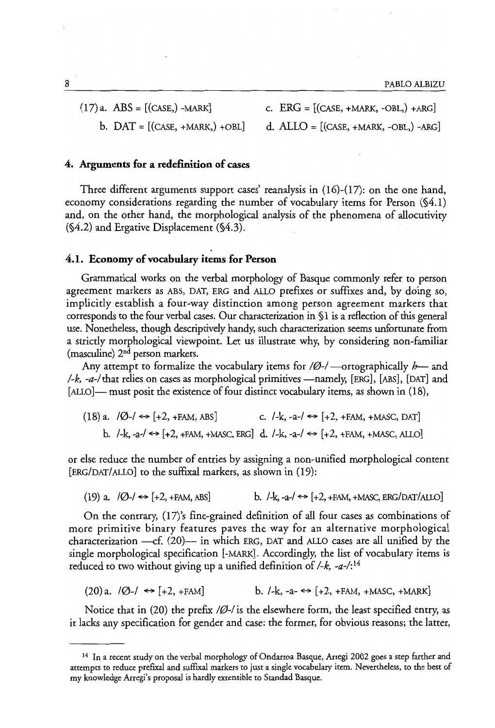8 PABLO ALBIZU

 $(17)$  a. ABS =  $[(CASE, ) -MARK]$  c.

b. 
$$
DAT = [(CASE, +MARK, ) + OBL]
$$

$$
ERG = [(CASE, +MARK, -OBL, ) + ARG]
$$

d.  $ALLO = [(\text{CASE}, + \text{MARK}, -\text{OBL},) - \text{ARG}]$ 

# 4. Arguments for a redefinition of cases

Three different arguments support cases' reanalysis in (16)-(17): on the one hand, economy considerations regarding the number of vocabulary items for Person (§4.1) and, on the other hand, the morphological analysis of the phenomena of allocutivity (§4.2) and Ergative Displacement (§4.3).

# 4.1. Economy of vocabulary items for Person

Grammatical works on the verbal morphology of Basque commonly refer to person agreement markers as ABS, DAT, ERG and ALLO prefixes or suffixes and, by doing so, implicitly establish a four-way distinction among person agreement markers that corresponds to the four verbal cases. Our characterization in § 1 is a reflection of this general use. Nonetheless, though descriptively handy, such characterization seems unfortunate from a strictly morphological viewpoint. Let us illustrate why, by considering non-familiar (masculine) 2nd person markers.

Any attempt to formalize the vocabulary items for  $\beta$ -/-ortographically  $h$ -and  $I-k$ ,  $-a$ -/ that relies on cases as morphological primitives —namely, [ERG], [ABS], [DAT] and [ALLO]— must posit the existence of four distinct vocabulary items, as shown in (18),

 $(18)$  a.  $\sqrt{Q}$ - $/ \leftrightarrow$  [+2, +FAM, ABS] c.  $/$ -k, -a- $/ \leftrightarrow$  [+2, +FAM, +MASC, DAT] b.  $-k$ ,  $-a$ - $\leftrightarrow$  [+2, +FAM, +MASC, ERG] d.  $-k$ ,  $-a$ - $\leftrightarrow$  [+2, +FAM, +MASC, ALLO]

or else reduce the number of entries by assigning a non-unified morphological content [ERG/DAT/ALLO] to the suffixal markers, as shown in (19):

(19) a.  $|0\rangle$   $\leftrightarrow$  [+2, +FAM, ABS] b.  $|$ -k, -a- $|$   $\leftrightarrow$  [+2, +FAM, +MASC, ERG/DAT/ALLO]

On the contrary, *(17)'s* fine-grained definition of all four cases as combinations of more primitive binary features paves the way for an alternative morphological characterization  $-cf$ , (20)- in which ERG, DAT and ALLO cases are all unified by the single morphological specification [-MARK]. Accordingly, the list of vocabulary items is reduced to two without giving up a unified definition of *I-k, \_a\_/:14* 

$$
(20)a. \quad |\emptyset - \rangle \iff [+2, +FAM] \qquad b. \quad /-k, -a- \iff [+2, +FAM, +MASC, +MARK]
$$

Notice that in (20) the prefix  $/Ø$ -/ is the elsewhere form, the least specified entry, as it lacks any specification for gender and case: the former, for obvious reasons; the latter,

<sup>14</sup> In a recent study on the verbal morphology of Ondarroa Basque, Arregi 2002 goes a step farther and attempts to reduce prefixal and suffixal markers to just a single vocabulary item. Nevertheless, to the best of my knowledge Arregi's proposal is hardly extensible to Standad Basque.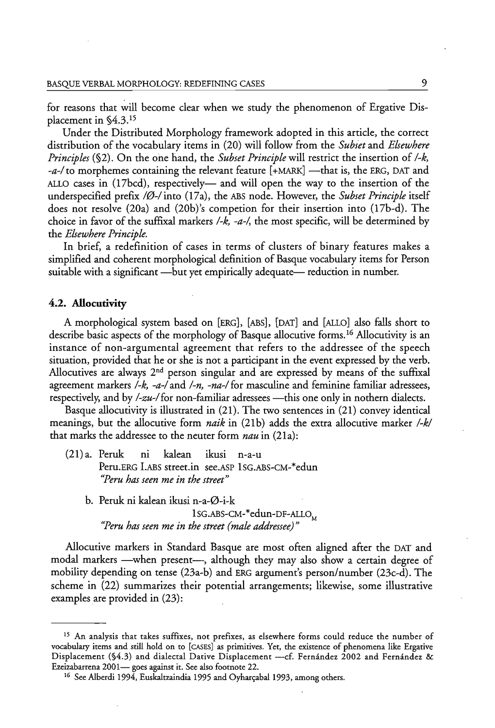for reasons that will become clear when we study the phenomenon of Ergative Displacement in §4.3.1S

Under the Distributed Morphology framework adopted in this article, the correct distribution of the vocabulary items in (20) will follow from the *Subset* and *Elsewhere Principles* (§2). On the one hand, the *Subset Principle* will restrict the insertion of */-k,*   $-a$ -/ to morphemes containing the relevant feature  $[+{\text{MARK}}]$  -that is, the ERG, DAT and ALLO cases in (17bcd), respectively— and will open the way to the insertion of the underspecified prefix /Ø-/ into (17a), the ABS node. However, the *Subset Principle* itself does not resolve  $(20a)$  and  $(20b)$ 's competion for their insertion into  $(17b-d)$ . The choice in favor of the suffixal markers  $\frac{1}{k}$ ,  $\frac{1}{4}$ , the most specific, will be determined by the *Elsewhere Principle.* 

In brief, a redefinition of cases in terms of clusters of binary features makes a simplified and coherent morphological definition of Basque vocabulary items for Person suitable with a significant —but yet empirically adequate— reduction in number.

# **4.2. Allocutivity**

A morphological system based on [ERG], [ABS], [DAT] and [ALLO] also falls short to describe basic aspects of the morphology of Basque allocutive forms. 16 Allocutivity is an instance of non-argumental agreement that refers to the addressee of the speech situation, provided that he or she is not a participant in the event expressed by the verb. Allocutives are always  $2<sup>nd</sup>$  person singular and are expressed by means of the suffixal agreement markers */-k, -a-/* and /~n, *-na-/* for masculine and feminine familiar adressees, respectively, and by /-zu-/ for non-familiar adressees -- this one only in nothern dialects.

Basque allocutivity is illustrated in (21). The two sentences in (21) convey identical meanings, but the allocutive form *naik* in (21b) adds the extra allocutive marker */-k/*  that marks the addressee to the neuter form *nau* in (21a):

- (21) a. Peruk ni kalean ikusi n-a-u Peru. ERG LABS street.in see.ASP ISG.ABS-CM-\*edun *"Peru has seen me in the street"* 
	- b. Peruk ni kalean ikusi n-a-0-i-k 1 SG.ABS-CM-\*edun-DF-ALLO<sub>M</sub> *"Peru has seen me in the street {male addressee}"*

Allocutive markers in Standard Basque are most often aligned after the DAT and modal markers —when present—, although they may also show a certain degree of mobility depending on tense (23a-b) and ERG argument's person/number (23c-d). The scheme in (22) summarizes their potential arrangements; likewise, some illustrative examples are provided in (23):

<sup>&</sup>lt;sup>15</sup> An analysis that takes suffixes, not prefixes, as elsewhere forms could reduce the number of vocabulary items and still hold on to [CASES] as primitives. Yet, the existence of phenomena like Ergative Displacement (§4.3) and dialectal Dative Displacement -- cf. Fernández 2002 and Fernández & Ezeizabarrena 2001- goes against it. See also footnote 22.

<sup>&</sup>lt;sup>16</sup> See Alberdi 1994, Euskaltzaindia 1995 and Oyharcabal 1993, among others.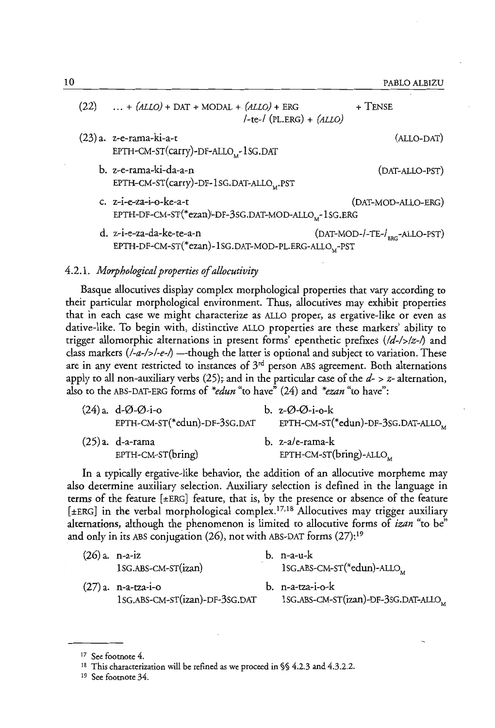10 PABLO ALBIZU

| (22) | $ + (ALLO) + DAT + MODAL + (ALLO) + ERG$<br>$/-te$ -/ (PL.ERG) + (ALLO)                    | $+$ TENSE                                 |
|------|--------------------------------------------------------------------------------------------|-------------------------------------------|
|      | (23) a. z-e-rama-ki-a-t<br>EPTH-CM-ST(carry)-DF-ALLO <sub>M</sub> -1SG.DAT                 | (ALLO-DAT)                                |
|      | b. z-e-rama-ki-da-a-n<br>EPTH-CM-ST(carry)-DF-1SG.DAT-ALLO,.PST                            | (DAT-ALLO-PST)                            |
|      | c. $z-i-e-za-i-o-ke-a-t$<br>EPTH-DF-CM-ST(*ezan)-DF-3sG.DAT-MOD-ALLO, -1sG.ERG             | (DAT-MOD-ALLO-ERG)                        |
|      | d. z-i-e-za-da-ke-te-a-n<br>EPTH-DF-CM-ST(*ezan)-1SG.DAT-MOD-PL.ERG-ALLO <sub>M</sub> -PST | (DAT-MOD-/-TE-/ <sub>FRC</sub> -ALLO-PST) |

# *4.2.1. Morphological properties of allocutivity*

Basque allocutives display complex morphological properties that vary according to their particular morphological environment. Thus, allocutives may exhibit properties that in each case we might characterize as ALLO proper, as ergative-like or even as dative-like. To begin with, distinctive ALLO properties are these markers' ability to trigger allomorphic alternations in present forms' epenthetic prefixes *(ld-I>lz-1)* and class markers (*I-a-/>/-e-/*) — though the latter is optional and subject to variation. These are in any event restricted to instances of  $3<sup>rd</sup>$  person ABS agreement. Both alternations apply to all non-auxiliary verbs (25); and in the particular case of the  $d$ -  $>$  z- alternation, also to the ABS-DAT-ERG forms of *\*edun* "to have" (24) and *\*ezan* "to have":

| $(24)$ a. d- $\varnothing$ - $\varnothing$ -i-o<br>EPTH-CM-ST(*edun)-DF-3SG.DAT | b. $z-\emptyset-\emptyset-i-\circ-k$<br>EPTH-CM-ST(*edun)-DF-3SG.DAT-ALLO <sub>M</sub> |
|---------------------------------------------------------------------------------|----------------------------------------------------------------------------------------|
| $(25)$ a. d-a-rama<br>$EPTH-CM-ST(bring)$                                       | b. z-a/e-rama-k<br>EPTH-CM-ST( $\text{bring}$ )-ALLO <sub>M</sub>                      |

In a typically ergative-like behavior, the addition of an allocutive morpheme may also determine auxiliary selection. Auxiliary selection is defined in the language in terms of the feature [±ERG] feature, that is, by the presence or absence of the feature [±ERG] in the verbal morphological complex.<sup>17,18</sup> Allocutives may trigger auxiliary alternations, although the phenomenon is limited to allocutive forms of *izan* "to be" and only in its ABS conjugation (26), not with ABS-DAT forms (27):19

| $(26)$ a. n-a-iz |                                                         | $b.$ n-a-u- $k$                                           |
|------------------|---------------------------------------------------------|-----------------------------------------------------------|
|                  | 1SG.ABS-CM-ST(izan)                                     | 1SG.ABS-CM-ST(*edun)-ALLO <sub>M</sub>                    |
|                  | $(27)$ a. n-a-tza-i-o<br>1sG.ABS-CM-ST(izan)-DF-3sG.DAT | $b.$ n-a-tza-i-o-k<br>1SG.ABS-CM-ST(izan)-DF-3SG.DAT-ALLO |

<sup>&</sup>lt;sup>17</sup> See footnote 4.

<sup>&</sup>lt;sup>18</sup> This characterization will be refined as we proceed in §§ 4.2.3 and 4.3.2.2.

<sup>19</sup> See footnote 34.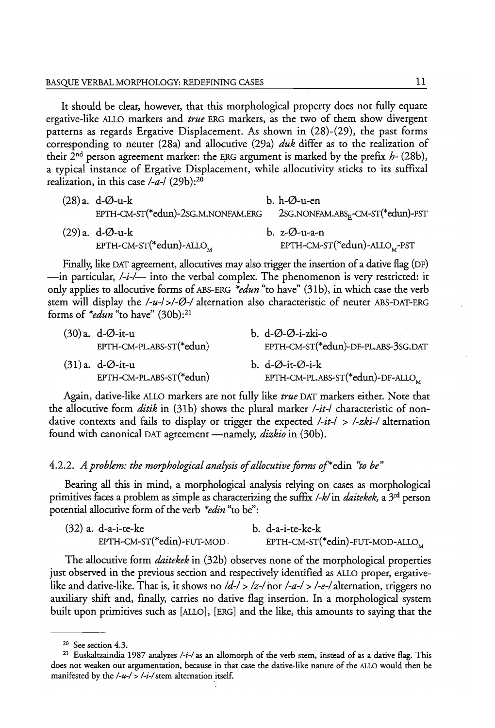It should be clear, however, that this morphological property does not fully equate ergative-like ALLO markers and *true* ERG markers, as the two of them show divergent patterns as regards Ergative Displacement. As shown in (28)-(29), the past forms corresponding to neuter (28a) and allocutive (29a) *duk* differ as to the realization of their 2nd person agreement marker: the ERG argument is marked by the prefix *h-* (28b), a typical instance of Ergative Displacement, while allocutivity sticks to its suffixal realization, in this case */-a-/* (29b):20

| (28) a. d-Ø-u-k                     | b. $h$ - $\varnothing$ -u-en                  |
|-------------------------------------|-----------------------------------------------|
| EPTH-CM-ST(*edun)-2sG.M.NONFAM.ERG  | 2sG.NONFAM.ABS <sub>F</sub> -CM-ST(*edun)-PST |
| (29) a. d-Ø-u-k                     | b. $z-\emptyset$ -u-a-n                       |
| EPTH-CM-ST(*edun)-ALLO <sub>M</sub> | $EPTH-CM-ST(*edun)-ALLO$ <sub>M</sub> -PST    |

Finally, like DAT agreement, allocutives may also trigger the insertion of a dative flag (OF) -in particular, */-i-/-* into the verbal complex. The phenomenon is very restricted: it only applies to allocutive forms of ABS-ERG *\*edun* "to have" (31 b), in which case the verb stem will display the /-u-/ >/- $\varnothing$ -/ alternation also characteristic of neuter ABS-DAT-ERG forms of *\*edun* "to have" (30b):21

| $(30)a$ . d-Ø-it-u<br>EPTH-CM-PL.ABS-ST(*edun) | b. $d-\emptyset-\emptyset$ -i-zki-o<br>EPTH-CM-ST(*edun)-DF-PL.ABS-3SG.DAT |
|------------------------------------------------|----------------------------------------------------------------------------|
| $(31)$ a. d-Ø-it-u<br>EPTH-CM-PL.ABS-ST(*edun) | b. d-Ø-it-Ø-i-k<br>EPTH-CM-PL.ABS-ST( $*$ edun)-DF-ALLO <sub>M</sub>       |

Again, dative-like ALLO markers are not fully like *true* DAT markers either. Note that the allocutive form *ditik* in (31b) shows the plural marker */-it-/* characteristic of nondative contexts and fails to display or trigger the expected */-it-/* > */-zki-/* alternation found with canonical DAT agreement -namely, *dizkio* in (30b).

# *4.2.2. A problem: the morphological analysis of allocutive forms* of\*edin *'to be"*

Bearing all this in mind, a morphological analysis relying on cases as morphological primitives faces a problem as simple as characterizing the suffix */-k/* in *daitekek,* a 3rd person potential allocutive form of the verb *\*edin* "to be":

| $(32)$ a. d-a-i-te-ke      | b. d-a-i-te-ke-k                            |
|----------------------------|---------------------------------------------|
| EPTH-CM-ST(*edin)-FUT-MOD. | EPTH-CM-ST(*edin)-FUT-MOD-ALLO <sub>M</sub> |

The allocutive form *daitekek* in (32b) observes none of the morphological properties just observed in the previous section and respectively identified as ALLO proper, ergativelike and dative-like. That is, it shows no */d-/* > */z-/* nor */-a-/* > */-e-/* alternation, triggers no auxiliary shift and, finally, carries no dative flag insertion. In a morphological system built upon primitives such as [ALLO], [ERG] and the like, this amounts to saying that the

<sup>20</sup> See section 4.3.

<sup>&</sup>lt;sup>21</sup> Euskaltzaindia 1987 analyzes /-i-/ as an allomorph of the verb stem, instead of as a dative flag. This does not weaken our argumentation, because in that case the dative-like nature of the ALLO would then be manifested by the /-u-/ > /-i-/ stem alternation itself.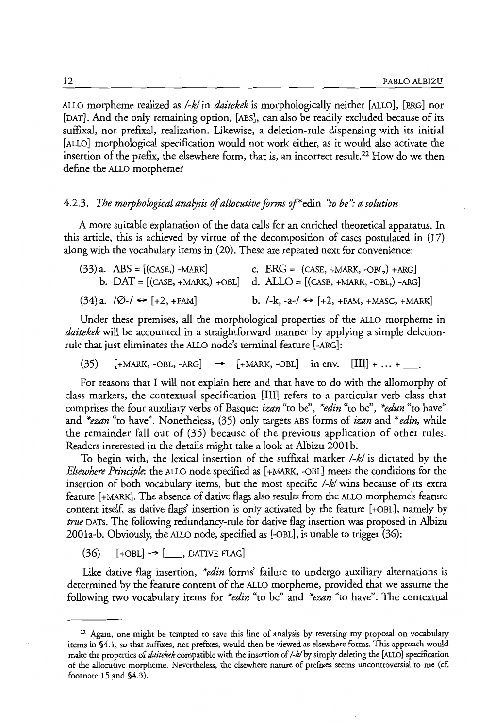ALLO morpheme realized as *I-kl* in *daitekek* is morphologically neither [ALLO], [ERG] nor [DAT]. And the only remaining option, [ABs], can also be readily excluded because of its suffixal, not prefixal, realization. Likewise, a deletion-rule dispensing with its initial [ALLO] morphological specification would not work either, as it would also activate the insertion of the prefix, the elsewhere form, that is, an incorrect result. 22 How do we then define the ALLO morpheme?

## *4.2.3. The morphological analysis of allocutive forms* of\*edin *"to be"; a solution*

A more suitable explanation of the data calls for an enriched theoretical apparatus. In this article, this is achieved by virtue of the decomposition of cases postulated in (17) along with the vocabulary items in (20). These are repeated next for convenience:

| $(33)$ a. ABS = [(CASE,) -MARK]                        | c. $ERG = [(CASE, +MARK, -OBL,) + ARG]$<br>b. $DAT = [(CASE, +MARK,) + OBL]$ d. $ALLO = [(CASE, +MARK, -OBL,) - ARC]$ |
|--------------------------------------------------------|-----------------------------------------------------------------------------------------------------------------------|
| $(34)$ a. $/\emptyset$ - $/\leftrightarrow$ [+2, +FAM] | b. $/-k$ , $-a-/- \rightarrow (+2, +FAM, +MASC, +MARK)$                                                               |

Under these premises, all the morphological properties of the ALLO morpheme in *daitekek* will be accounred in a straightforward manner by applying a simple deletionrule that just eliminates the ALLO node's terminal feature [-ARG]:

 $(35)$  [+MARK, -OBL, -ARG]  $\rightarrow$  [+MARK, -OBL] in env. [III] + ... +

For reasons that I will not explain here and that have to do with the allomorphy of class markers, the contextual specification [Ill] refers to a particular verb class that comprises the four auxiliary verbs of Basque: *izan* "to be", *\*edin* "to be", *\*edun* "to have" and *\*ezan* "to have". Nonetheless, (35) only targets ABS forms of *izan* and *\*edin,* while the remainder fall out of (35) because of the previous application of other rules. Readers interested in the details might take a look at Albizu 2001b.

To begin with, the lexical insertion of the suffixal marker *I-kl* is dictated by the *Elsewhere Principle.* the ALLO node specified as [+MARK, -OBL] meets the conditions for the insertion of both vocabulary items, but the most specific *I-kl* wins because of its extra feature [+MARK]. The absence of dative flags also results from the ALLO morpheme's feature content itself, as dative flags' insertion is only activated by the feature [+OBL], namely by *true* DATs. The following redundancy-rule for dative flag insertion was proposed in Albizu 2001a-b. Obviously, the ALLO node, specified as [-OBL], is unable to trigger (36):

 $(36)$  [+OBL]  $\rightarrow$  [ \_\_, DATIVE FLAG]

Like dative flag insertion, *\*edin* forms' failure to undergo auxiliary alternations is determined by the feature content of the ALLO morpheme, provided that we assume the following two vocabulary items for *\*edin* "to be" and *\*ezan* "to have". The contextual

 $22$  Again, one might be tempted to save this line of analysis by reversing my proposal on vocabulary items in §4.1, so that suffixes, not preftxes, would then be viewed as elsewhere forms. This approach would make the properties of *daitekek* compatible with the insertion of */-k/by* simply deleting the [ALLO] specification of the aIlocutive morpheme. Nevertheless, the elsewhere narure of preftxes seems uncontroversial to me (c£ footnote 15 and §4.3).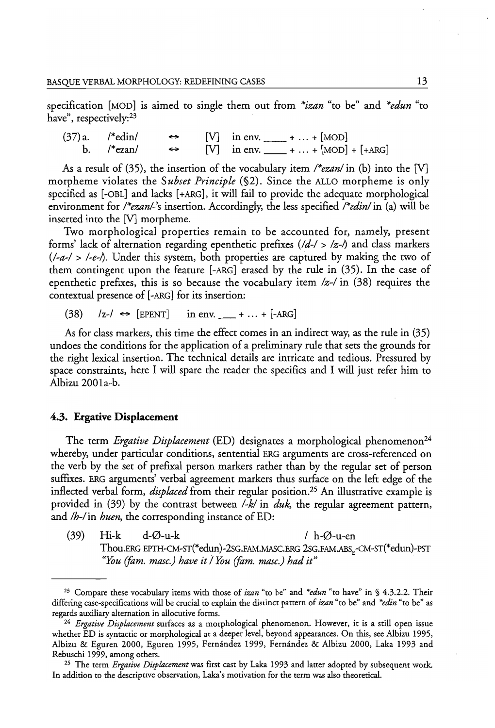specification [MOD] is aimed to single them out from *\*izan* "to be" and *\*edun* "to have", respectively:<sup>23</sup>

 $(37)$ a. /\*edin/ [V] in env.  $\frac{\text{...}}{\text{...}}$  + ... + [MOD]<br>[V] in env.  $\frac{\text{...}}{\text{...}}$  + ... + [MOD] b. *I\*e:zan/*   $\leftrightarrow$ in env.  $\frac{1}{\sqrt{1 + \text{A}}R}$  + ... +  $[\text{MOD}] + [\text{A}RG]$ 

As a result of (35), the insertion of the vocabulary item *I\*ezanl* in (b) into the [V] morpheme violates the *Subset Principle* (§2). Since the ALLO morpheme is only specified as [-OBL] and lacks [+ARG], it will fail to provide the adequate morphological environment for *I\*ezanl-'s* insertion. Accordingly, the less specified *I\*edinl* in (a) will be inserted into the [V] morpheme.

Two morphological properties remain to be accounted for, namely, present forms' lack of alternation regarding epenthetic prefixes *(ld-I* > *Iz-/)* and class markers *(/-a-I> I-e-/).* Under this system, both properties are captured by making the two of them contingent upon the feature [-ARG] erased by the rule in (35). In the case of epenthetic prefixes, this is so because the vocabulary item *Iz-I* in (38) requires the contextual presence of [-ARG] for its insertion:

 $(38)$  /z-/  $\leftrightarrow$  [EPENT] in env.  $+ ... + [-ARG]$ 

As for class markers, this time the effect comes in an indirect way, as the rule in (35) undoes the conditions for the application of a preliminary rule that sets the grounds for the right lexical insertion. The technical details are intricate and tedious. Pressured by space constraints, here I will spare the reader the specifics and I will just refer him to Albizu 2001a-b.

#### 4.3. Ergative **Displacement**

The term *Ergative Displacement* (ED) designates a morphological phenomenon<sup>24</sup> whereby, under particular conditions, sentential ERG arguments are cross-referenced on the verb by the set of prefixal person markers rather than by the regular set of person suffixes. ERG arguments' verbal agreement markers thus surface on the left edge of the inflected verbal form, *displaced* from their regular position.25 An illustrative example is provided in (39) by the contrast between *I-k/* in *duk,* the regular agreement pattern, and */h-/* in *huen*, the corresponding instance of ED:

(39) Hi-k  $d-\varnothing$ -u-k / h- $\varnothing$ -u-en Thou.ERG EPTH-CM-ST(\*edun)-2SG.FAM.MASC.ERG 2SG.FAM.ABS.-CM-ST(\*edun)-PST *"You (fam. masc.) have it / You (fam. masc.) had it"* 

<sup>&</sup>lt;sup>23</sup> Compare these vocabulary items with those of *izan* "to be" and *\*edun* "to have" in § 4.3.2.2. Their differing case-specifications will be crucial to explain the distinct pattern of *izan* "to be" and *\*edin* "to be» as regards auxiliary alternation in allocutive forms.

*<sup>24</sup> Ergative Displacement* surfaces as a morphological phenomenon. However, it is a still open issue whether ED is syntactic or morphological at a deeper level, beyond appearances. On this, see Albizu 1995, Albizu & Eguren 2000, Eguren 1995, Fernandez 1999, Fernandez & Albizu 2000, Laka 1993 and Rebuschi 1999, among others.

<sup>25</sup> The term *Ergative Displacement* was first cast by Laka 1993 and latter adopted by subsequent work. In addition to the descriptive observation, Laka's motivation for the term was also theoretical.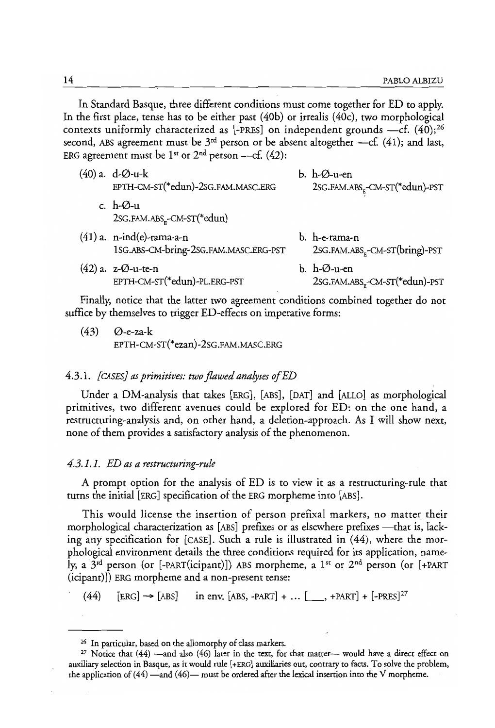In Standard Basque, three different conditions must come together for ED to apply. In the first place, tense has to be either past (40b) or irrealis (40c), two morphological contexts uniformly characterized as [-PRES] on independent grounds  $-c$ f. (40);<sup>26</sup> second, ABS agreement must be  $3<sup>rd</sup>$  person or be absent altogether --cf. (41); and last, ERG agreement must be 1<sup>st</sup> or  $2<sup>nd</sup>$  person ---cf. (42):

| $(40)$ a. d- $\varnothing$ -u-k<br>EPTH-CM-ST(*edun)-2SG.FAM.MASC.ERG | $b. h - \varnothing$ -u-en<br>2SG.FAM.ABS <sub>F</sub> -CM-ST(*edun)-PST |
|-----------------------------------------------------------------------|--------------------------------------------------------------------------|
| c. $h-\varnothing$ -u<br>2SG.FAM.ABS <sub>F</sub> -CM-ST(*edun)       |                                                                          |
| $(41)$ a. n-ind(e)-rama-a-n<br>1sG.ABS-CM-bring-2sG.FAM.MASC.ERG-PST  | b. h-e-rama-n<br>2sG.FAM.ABS <sub>F</sub> -CM-ST(bring)-PST              |
| $(42)$ a. z- $\varnothing$ -u-te-n<br>EPTH-CM-ST(*edun)-PL.ERG-PST    | $b. h-Ø-$ u-en<br>2SG.FAM.ABS <sub>r</sub> -CM-ST(*edun)-PST             |

Finally, notice that the latter two agreement conditions combined together do not suffice by themselves to trigger ED-effects on imperative forms:

 $(43)$   $\varnothing$ -e-za-k EPTH-CM-sT(\*ezan)-2sG.FAM.MASC.ERG

#### *4.3.1. {CASES} as primitives: two flawed analyses of ED*

Under a DM-analysis that takes [ERG], [ABS], [DAT] and [ALLO] as morphological primitives, two different avenues could be explored for ED: on the one hand, a restructuring-analysis and, on other hand, a deletion-approach. As I will show next, none of them provides a satisfactory analysis of the phenomenon.

#### *4.3.1.1. ED as a restructuring-rule*

A prompt option for the analysis of ED is to view it as a restructuring-rule that turns the initial [ERG] specification of the ERG morpheme into [ABS].

This would license the insertion of person prefixal markers, no matter their morphological characterization as [ABS] prefixes or as elsewhere prefixes -that is, lacking any specification for [CASE]. Such a rule is illustrated in (44), where the morphological environment details the three conditions required for its application, namely, a  $3^{rd}$  person (or [-PART(icipant)]) ABS morpheme, a  $1^{st}$  or  $2^{nd}$  person (or [+PART (icipant)]) ERG morpheme and a non-present tense:

 $(44)$  [ERG]  $\rightarrow$  [ABS] in env. [ABS, -PART] + ... [, +PART] + [-PRES]<sup>27</sup>

<sup>26</sup> In particular, based on the allomorphy of class markers.

<sup>&</sup>lt;sup>27</sup> Notice that  $(44)$  —and also  $(46)$  later in the text, for that matter-- would have a direct effect on auxiliary selection in Basque, as it would rule [+ERG] auxiliaries out, contrary to facts. To solve the problem, the application of  $(44)$  -and  $(46)$ - must be ordered after the lexical insertion into the V morpheme.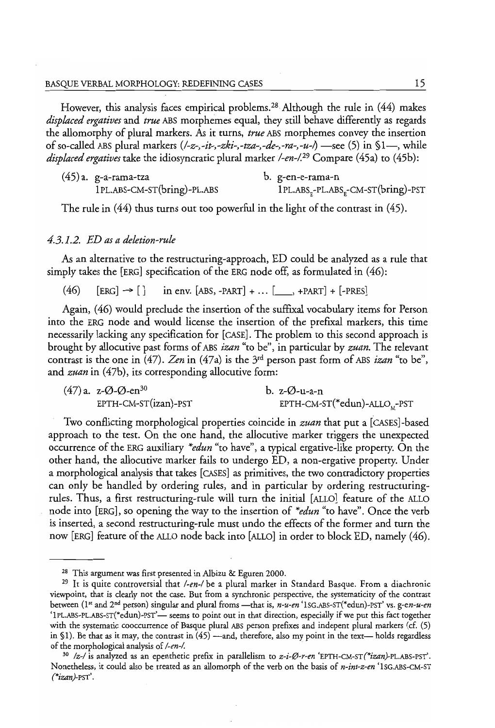However, this analysis faces empirical problems.<sup>28</sup> Although the rule in (44) makes *displaced ergatives* and *true* ABS morphemes equal, they still behave differently as regards the allomorphy of plural markers. As it turns, *true* ABS morphemes convey the insertion of so-called ABS plural markers *(I-z-,-it-,-zki-,-tza-,-de-,-ra-,-u-I)* -see (5) in §1-, while *displaced ergatives* take the idiosyncratic plural marker */-en-/*.<sup>29</sup> Compare (45a) to (45b):

| (45) a. g-a-rama-tza        | b. g-en-e-rama-n                    |
|-----------------------------|-------------------------------------|
| 1PL.ABS-CM-ST(bring)-PL.ABS | $1PL.ABSF-PL.ABSF-CM-ST(bring)-PST$ |

The rule in (44) thus turns out too powerful in the light of the contrast in (45).

### *4.3.1.2. ED as a deletion-rule*

As an alternative to the restructuring-approach, ED could be analyzed as a rule that simply takes the [ERG] specification of the ERG node off, as formulated in (46):

 $(46)$  [ERG]  $\rightarrow$  [] in env. [ABS, -PART] + ... [, +PART] + [-PRES]

Again, (46) would preclude the insertion of the suffixal vocabulary items for Person into the ERG node and would license the insertion of the prefixal markers, this time necessarily lacking any specification for [CASE]. The problem to this second approach is brought by allocutive past forms of ABS *izan* "to be", in particular by *zuan.* The relevant contrast is the one in (47). *Zen* in (47a) is the 3rd person past form of ABS *izan* "to be", and *zuan* in (47b), its corresponding allocutive form:

| $(47)$ a. z- $\varnothing$ - $\varnothing$ -en <sup>30</sup> | b. $z$ - $\varnothing$ -u-a-n            |
|--------------------------------------------------------------|------------------------------------------|
| EPTH-CM-ST(izan)-PST                                         | EPTH-CM-ST(*edun)-ALLO <sub>v</sub> -PST |

Two conflicting morphological properties coincide in *zuan* that put a [cASEs]-based approach to the test. On the one hand, the allocutive marker triggers the unexpected occurrence of the ERG auxiliary *\*edun* "to have", a typical ergative-like property. On the other hand, the allocutive marker fails to undergo ED, a non-ergative property. Under a morphological analysis that takes [CASES] as primitives, the two contradictory properties can only be handled by ordering rules, and in particular by ordering restructuringrules. Thus, a first restructuring-rule will turn the initial [ALLO] feature of the ALLO node into [ERG], so opening the way to the insertion of *\*edun* "to have". Once the verb is inserted, a second restructuring-rule must undo the effects of the former and turn the now [ERG] feature of the ALLO node back into [ALLO] in order to block ED, namely (46).

<sup>28</sup> This argument was first presented in Albizu & Eguren 2000.

<sup>29</sup>It is quite controversial that */-en-/* be a plural marker in Standard Basque. From a diachronic viewpoint, that is dearly not the case. But from a synchronic perspective, the systematicity of the contrast between (1<sup>st</sup> and 2<sup>nd</sup> person) singular and plural froms -- that is,  $n-u-en$  '1SG.ABS-ST(\*edun)-PST' vs. *g-en-u-en* '1PL.ABS-PL.ABS-ST(\*edun)-PST'- seems to point out in that direction, especially if we put this fact together with the systematic cooccurrence of Basque plural ABS person prefixes and indepent plural markers (cf. (5) in §1). Be that as it may, the contrast in  $(45)$  --and, therefore, also my point in the text- holds regardless of the morphological analysis of *I-en-/.* 

<sup>&</sup>lt;sup>30</sup> /z-/ is analyzed as an epenthetic prefix in parallelism to z-i-Ø-r-en 'EPTH-CM-ST(\*izan)-PL.ABS-PST'. Nonetheless, it could also be treated as an allomorph of the verb on the basis of *n-int-z-en* 'lSG.ABS-CM-ST *(\*izan)-*PST'.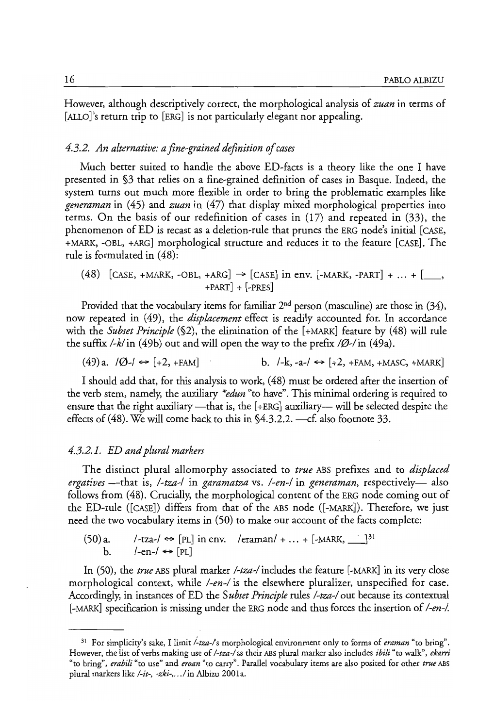However, although descriptively correct, the morphological analysis of *zuan* in terms of [ALLO]'s return trip to [ERG] is not particularly elegant nor appealing.

#### *4.3.2. An alternative: a fine-grained definition of cases*

Much better suited to handle the above ED-facts is a theory like the one I have presented in §3 that relies on a fine-grained definition of cases in Basque. Indeed, the system turns out much more flexible in order to bring the problematic examples like *generaman* in (45) and *zuan* in (47) that display mixed morphological properties into terms. On the basis of our redefinition of cases in (17) and repeated in (33), the phenomenon of ED is recast as a deletion-rule that prunes the ERG node's initial [CASE, +MARK, -OBL, +ARG] morphological structure and reduces it to the feature [CASE]. The rule is formulated in (48):

 $(48)$  [CASE, +MARK, -OBL, +ARG]  $\rightarrow$  [CASE] in env. [-MARK, -PART] + ... + [, , +PART] + [-PRES]

Provided that the vocabulary items for familiar 2<sup>nd</sup> person (masculine) are those in (34), now repeated in (49), the *displacement* effect is readily accounted for. In accordance with the *Subset Principle* (§2), the elimination of the [+MARK] feature by (48) will rule the suffix  $\frac{\ell}{k}$  in (49b) out and will open the way to the prefix  $\frac{\ell}{\ell}$ -/in (49a).

 $(49)$ a.  $|0\rangle$   $\leftrightarrow$  [+2, +FAM] b.  $|-k$ , -a- $\leftrightarrow$  [+2, +FAM, +MASC, +MARK]

I should add that, for this analysis to work, (48) must be ordered after the insertion of the verb stem, namely, the auxiliary *\*edun* "to have". This minimal ordering is required to ensure that the right auxiliary—that is, the  $[+ERG]$  auxiliary— will be selected despite the effects of (48). We will come back to this in  $\S4.3.2.2$ . --cf. also footnote 33.

#### *4.3.2.1. ED and plural markers*

The distinct plural allomorphy associated to *true* ABS prefixes and to *displaced ergatives* -that is, *I-tza-/* in *garamatza* vs. *I-en-I* in *generaman,* respectively- also follows from (48). Crucially, the morphological content of the ERG node coming out of the ED-rule ([CASE]) differs from that of the ABS node ([-MARK]). Therefore, we just need the two vocabulary items in (50) to make our account of the facts complete:

 $(50)$  a. /-tza-/  $\Leftrightarrow$  [PL] in env. /eraman/ + ... + [-MARK,  $\Box$ ]<sup>31</sup> b. /-en-/  $\Leftrightarrow$  [PL]

In (50), the *true* ABS plural marker *I-tza-I* includes the feature [-MARK] in its very close morphological context, while *I-en-I* is the elsewhere pluralizer, unspecified for case. Accordingly, in instances of ED the *Subset Principle* rules */-tza-/* out because its contextual [-MARK] specification is missing under the ERG node and thus forces the insertion of *I-en-/.* 

<sup>31</sup> For simplicity's sake, I limit *itza-Is* morphological environment only to forms of *eraman* "co bring". However, the list of verbs making use of */-tza-/* as their ABS plural marker also includes *ibili* "to walk", *ekarri*  "to bring", *erabili* "to use" and *eroan* "to carty". Parallel vocabulary items are also posited for other *true* ABS plural markers like /-it-, -zki-, ... / in Albizu 2001a.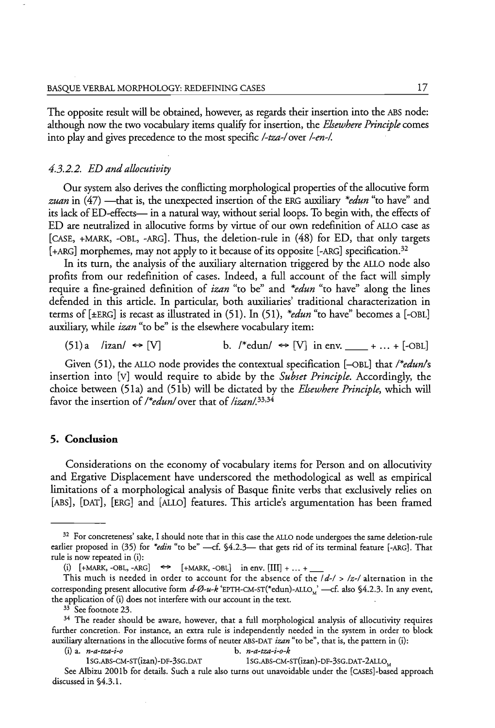The opposite result will be obtained, however, as regards their insertion into the ABS node: although now the two vocabulary items qualify for insertion, the *Elsewhere Principle* comes into play and gives precedence to the most specific *I-tza-Iover I-en-/.* 

## *4.3.2.2. ED and allocutivity*

Our system also derives the conflicting morphological properties of the allocucive form *zuan* in  $(47)$  —that is, the unexpected insertion of the ERG auxiliary *\*edun* "to have" and its lack of ED-effects- in a natural way, without serial loops. To begin with, the effects of ED are neutralized in allocutive forms by virtue of our own redefinition of ALLO case as [CASE, +MARK, -OBL, -ARG]. Thus, the deletion-rule in (48) for ED, that only targets [+ARG] morphemes, may not apply to it because of its opposite [-ARG] specification.<sup>32</sup>

In its turn, the analysis of the auxiliary alternation triggered by the ALLO node also profits from our redefinition of cases. Indeed, a full account of the fact will simply require a fine-grained definition of *izan* "to be" and *\*edun* "to have" along the lines defended in this article. In particular, both auxiliaries' traditional characterization in terms of [±ERG] is recast as illustrated in (51). In (51), *\*edun* "to have" becomes a [-OBL] auxiliary, while *izan* "to be" is the elsewhere vocabulary item:

(51)a /izan/  $\leftrightarrow$  [V] b. /\*edun/  $\leftrightarrow$  [V] in env. \_\_\_ + ... + [-OBL]

Given (51), the ALLO node provides the contextual specification  $[-OBL]$  that /\**edun*/s insertion into [v] would require to abide by the *Subset Principle.* Accordingly, the choice between (51a) and (SIb) will be dictated by the *Elsewhere Principle,* which will favor the insertion of *I\*edunl* over that of *lizan/. 33,34* 

### **5. Conclusion**

Considerations on the economy of vocabulary items for Person and on allocutivity and Ergative Displacement have underscored the methodological as well as empirical limitations of a morphological analysis of Basque finite verbs that exclusively relies on [ABS], [OAT], [ERG] and [ALLO] features. This article's argumentation has been framed

<sup>33</sup> See footnote 23.

1SG.ABS-CM-ST(izan)-DF-3SG.DAT 1SG.ABS-CM-ST(izan)-DF-3SG.DAT-2ALLO<sub>M</sub>

<sup>&</sup>lt;sup>32</sup> For concreteness' sake, I should note that in this case the ALLO node undergoes the same deletion-rule earlier proposed in (35) for *\*edin* "to be" ---cf. §4.2.3- that gets rid of its terminal feature [-ARG]. That rule is now repeated in (i):

<sup>(</sup>i)  $[+MARK, -OBL, -ARG] \Leftrightarrow$   $[+MARK, -OBL]$  in env.  $[III] + ... +$ 

This much is needed in order to account for the absence of the  $\frac{1}{d-1}$  >  $\frac{1}{z-1}$  alternation in the corresponding present allocutive form  $d$ -Ø-u-k 'EPTH-CM-ST(\*edun)-ALLO<sub>M</sub>' ---cf. also §4.2.3. In any event, the application of (i) does not interfere with our account in the text.

<sup>&</sup>lt;sup>34</sup> The reader should be aware, however, that a full morphological analysis of allocutivity requires further concretion. For instance, an extra rule is independently needed in the system in order to block auxiliary alternations in the allocutive forms of neuter ASS-OAT *izan* "to be", that is, the pattern in (i): (i) a. *n-a-tza-i-o* b. *n-a-tza-i-o-k* 

See Albizu 2001b for details. Such a rule also turns out unavoidable under the [CASES]-based approach discussed in §4.3.1.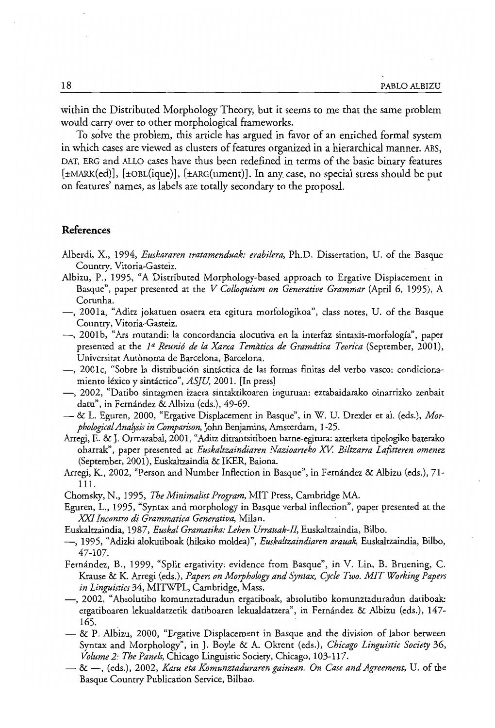within the Distributed Morphology Theory, but it seems to me that the same problem would carry over to other morphological frameworks.

To solve the problem, this article has argued in favor of an enriched formal system in which cases are viewed as clusters of features organized in a hierarchical manner. ABS, DAT, ERG and ALLO cases have thus been redefined in terms of the basic binary features [±MARK(ed)], [±OBL(ique)], [±ARG(ument)]. In any case, no special stress should be put on features' names, as labels are totally secondary to the proposal.

# **References**

- Alberdi, X., 1994, *Euskararen tratamenduak: erabilera,* Ph.D. Dissertation, U. of the Basque Country, Vitoria-Gasteiz.
- Albizu, P., 1995, "A Distributed Morphology-based approach to Ergative Displacement in Basque", paper presented at the *V Colloquium on Generative Grammar* (April 6, 1995), A Corunha.
- -, 200 la, "Aditz jokatuen osaera eta egitura morfologikoa", class notes, U. of the Basque COUntry, Vitoria-Gasteiz.
- -, 2001 b, "Ars mutandi: la concordancia alocuriva en la interfaz sintaxis-morfologia", paper presented at the <sup>1ª</sup> Reunió de la Xarxa Temàtica de Gramática Teorica (September, 2001), Universitat Autonoma de Barcelona, Barcelona.
- -, 2001c, "Sobre la distribuci6n sinractica de las formas finitas del verbo vasco: condicionamiento léxico y sintáctico", *ASJU*, 2001. [In press]
- -, 2002, "Datibo sintagmen izaera sintaktikoaren inguruan: eztabaidarako oinarrizko zenbait datu", in Fernández & Albizu (eds.), 49-69.
- & 1. Eguren, 2000, "Ergative Displacement in Basque", in W. U. Drexler et al. (eds.), *MorphologicafAnalysis in Comparison,* John Benjamins, Amsterdam, 1-25.
- Arregi, E. &]. Ormazabal, 2001, "Aditz ditrantsitiboen barne-egitura: azterketa tipologiko baterako oharrak", paper presented at *Euskaltzaindiaren Nazioarteko* .xv: *Biltzarra Lafitteren omenez*  (September, 2001), Euskaltzaindia & IKER, Baiona.
- Arregi, K., 2002, "Person and Number Inflection in Basque", in Fernandez & Albizu (eds.), 71- Ill.
- Chomsky, N., 1995, *The Minimalist Program,* MIT Press, Cambridge MA.
- Eguren, 1., 1995, "Syntax and morphology in Basque verbal inflection", paper presented at the *XXI Incontro di Grammatica Generativa,* Milan.
- Euskaltzaindia, 1987, *Euskaf Gramatika: Lehen Urratsak-Il,* Euskaltzaindia, Bilbo.
- -, 1995, "Adizki alokutiboak (hikako moldea)", *Euskaltzaindiaren arauak,* Euskaltzaindia, Bilbo, 47-107.
- Fernandez, B., 1999, "Split ergativity: evidence from Basque", in V. Lin, B. Bruening, C. Krause & K. Arregi (eds.), *Papers on Morphology and Syntax, Cycle Two. MIT Working Papers in Linguistics* 34, MITWPL, Cambridge, Mass.
- -, 2002, "Absolutibo komunztaduradun ergatiboak, absolutibo komunztaduradun datiboak: ergatiboaren lekualdatzetik datiboaren lekualdatzera", in Fernández & Albizu (eds.), 147-165.
- $-\&$  P. Albizu, 2000, "Ergative Displacement in Basque and the division of labor between Syntax and Morphology", in J. Boyle & A. Okrent (eds.), *Chicago Linguistic Society 36, Volume* 2: *The Panels,* Chicago Linguistic Sociery, Chicago, 103-117.
- & -, (eds.), 2002, *Kasu eta Komunztaduraren gainean. On Case and Agreement,* U. of the Basque Country Publication Service, Bilbao.